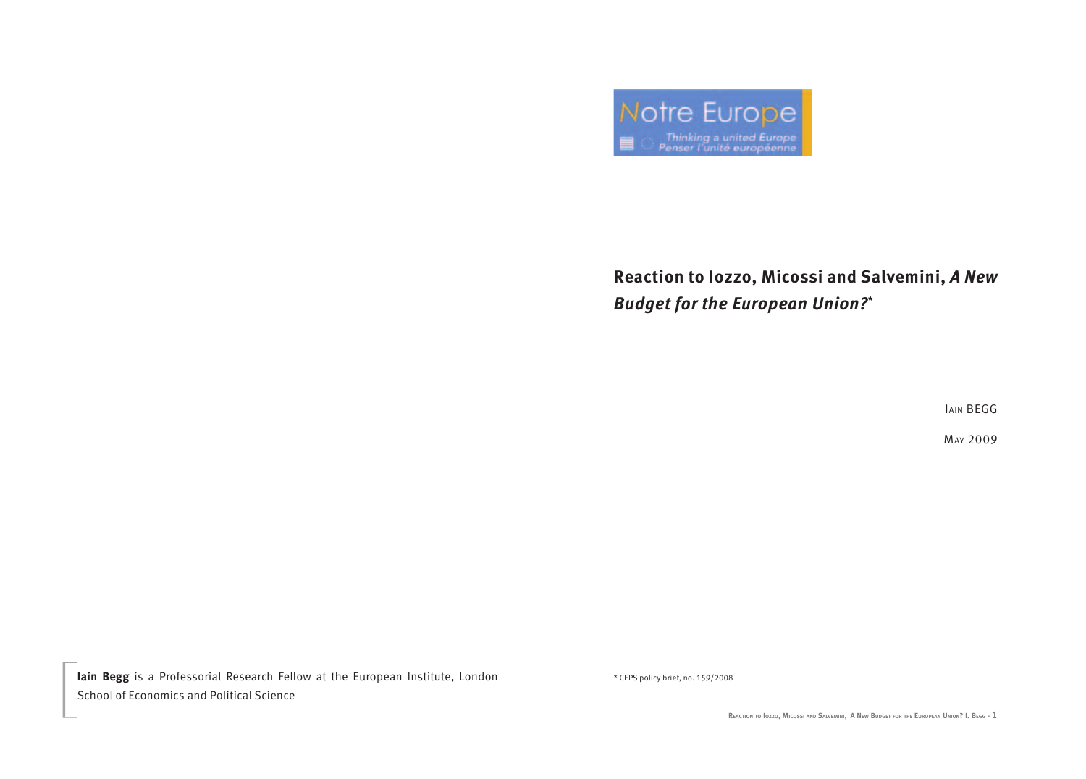

## **Reaction to Iozzo, Micossi and Salvemini,** *A New Budget for the European Union?***\***

IAIN BEGG

may 2009

Iain Begg is a Professorial Research Fellow at the European Institute, London \* CEPS policy brief, no. 159/2008 School of Economics and Political Science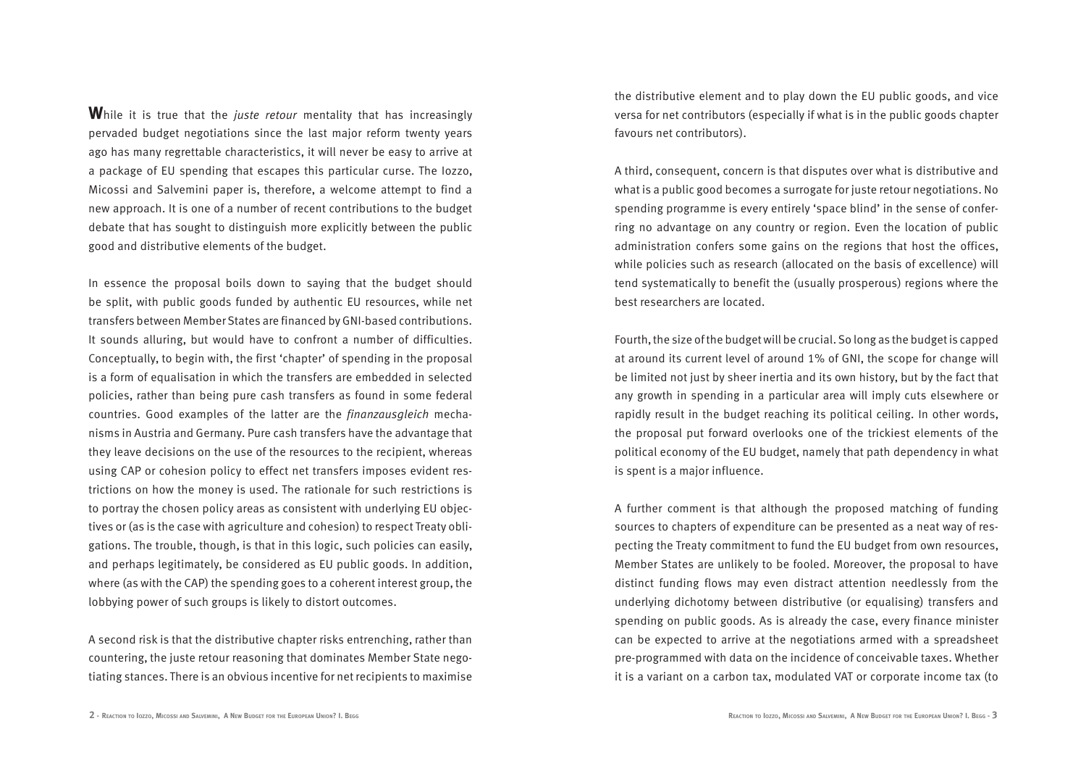**W**hile it is true that the *juste retour* mentality that has increasingly pervaded budget negotiations since the last major reform twenty years ago has many regrettable characteristics, it will never be easy to arrive at a package of EU spending that escapes this particular curse. The Iozzo, Micossi and Salvemini paper is, therefore, a welcome attempt to find a new approach. It is one of a number of recent contributions to the budget debate that has sought to distinguish more explicitly between the public good and distributive elements of the budget.

In essence the proposal boils down to saying that the budget should be split, with public goods funded by authentic EU resources, while net transfers between Member States are financed by GNI-based contributions. It sounds alluring, but would have to confront a number of difficulties. Conceptually, to begin with, the first 'chapter' of spending in the proposal is a form of equalisation in which the transfers are embedded in selected policies, rather than being pure cash transfers as found in some federal countries. Good examples of the latter are the *finanzausgleich* mechanisms in Austria and Germany. Pure cash transfers have the advantage that they leave decisions on the use of the resources to the recipient, whereas using CAP or cohesion policy to effect net transfers imposes evident restrictions on how the money is used. The rationale for such restrictions is to portray the chosen policy areas as consistent with underlying EU objectives or (as is the case with agriculture and cohesion) to respect Treaty obligations. The trouble, though, is that in this logic, such policies can easily, and perhaps legitimately, be considered as EU public goods. In addition, where (as with the CAP) the spending goes to a coherent interest group, the lobbying power of such groups is likely to distort outcomes.

A second risk is that the distributive chapter risks entrenching, rather than countering, the juste retour reasoning that dominates Member State negotiating stances. There is an obvious incentive for net recipients to maximise

the distributive element and to play down the EU public goods, and vice versa for net contributors (especially if what is in the public goods chapter favours net contributors).

A third, consequent, concern is that disputes over what is distributive and what is a public good becomes a surrogate for juste retour negotiations. No spending programme is every entirely 'space blind' in the sense of conferring no advantage on any country or region. Even the location of public administration confers some gains on the regions that host the offices, while policies such as research (allocated on the basis of excellence) will tend systematically to benefit the (usually prosperous) regions where the best researchers are located.

Fourth, the size of the budget will be crucial. So long as the budget is capped at around its current level of around 1% of GNI, the scope for change will be limited not just by sheer inertia and its own history, but by the fact that any growth in spending in a particular area will imply cuts elsewhere or rapidly result in the budget reaching its political ceiling. In other words, the proposal put forward overlooks one of the trickiest elements of the political economy of the EU budget, namely that path dependency in what is spent is a major influence.

A further comment is that although the proposed matching of funding sources to chapters of expenditure can be presented as a neat way of respecting the Treaty commitment to fund the EU budget from own resources, Member States are unlikely to be fooled. Moreover, the proposal to have distinct funding flows may even distract attention needlessly from the underlying dichotomy between distributive (or equalising) transfers and spending on public goods. As is already the case, every finance minister can be expected to arrive at the negotiations armed with a spreadsheet pre-programmed with data on the incidence of conceivable taxes. Whether it is a variant on a carbon tax, modulated VAT or corporate income tax (to